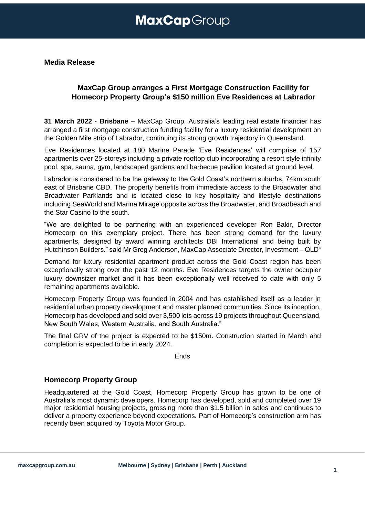## **MaxCap**Group

**Media Release**

### **MaxCap Group arranges a First Mortgage Construction Facility for Homecorp Property Group's \$150 million Eve Residences at Labrador**

**31 March 2022 - Brisbane** – MaxCap Group, Australia's leading real estate financier has arranged a first mortgage construction funding facility for a luxury residential development on the Golden Mile strip of Labrador, continuing its strong growth trajectory in Queensland.

Eve Residences located at 180 Marine Parade 'Eve Residences' will comprise of 157 apartments over 25-storeys including a private rooftop club incorporating a resort style infinity pool, spa, sauna, gym, landscaped gardens and barbecue pavilion located at ground level.

Labrador is considered to be the gateway to the Gold Coast's northern suburbs, 74km south east of Brisbane CBD. The property benefits from immediate access to the Broadwater and Broadwater Parklands and is located close to key hospitality and lifestyle destinations including SeaWorld and Marina Mirage opposite across the Broadwater, and Broadbeach and the Star Casino to the south.

"We are delighted to be partnering with an experienced developer Ron Bakir, Director Homecorp on this exemplary project. There has been strong demand for the luxury apartments, designed by award winning architects DBI International and being built by Hutchinson Builders." said Mr Greg Anderson, MaxCap Associate Director, Investment – QLD"

Demand for luxury residential apartment product across the Gold Coast region has been exceptionally strong over the past 12 months. Eve Residences targets the owner occupier luxury downsizer market and it has been exceptionally well received to date with only 5 remaining apartments available.

Homecorp Property Group was founded in 2004 and has established itself as a leader in residential urban property development and master planned communities. Since its inception, Homecorp has developed and sold over 3,500 lots across 19 projects throughout Queensland, New South Wales, Western Australia, and South Australia."

The final GRV of the project is expected to be \$150m. Construction started in March and completion is expected to be in early 2024.

Ends

### **Homecorp Property Group**

Headquartered at the Gold Coast, Homecorp Property Group has grown to be one of Australia's most dynamic developers. Homecorp has developed, sold and completed over 19 major residential housing projects, grossing more than \$1.5 billion in sales and continues to deliver a property experience beyond expectations. Part of Homecorp's construction arm has recently been acquired by Toyota Motor Group.